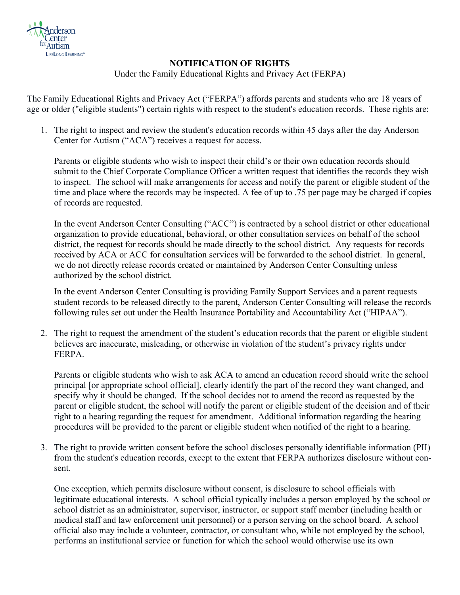

## **NOTIFICATION OF RIGHTS**

Under the Family Educational Rights and Privacy Act (FERPA)

The Family Educational Rights and Privacy Act ("FERPA") affords parents and students who are 18 years of age or older ("eligible students") certain rights with respect to the student's education records. These rights are:

1. The right to inspect and review the student's education records within 45 days after the day Anderson Center for Autism ("ACA") receives a request for access.

Parents or eligible students who wish to inspect their child's or their own education records should submit to the Chief Corporate Compliance Officer a written request that identifies the records they wish to inspect. The school will make arrangements for access and notify the parent or eligible student of the time and place where the records may be inspected. A fee of up to .75 per page may be charged if copies of records are requested.

In the event Anderson Center Consulting ("ACC") is contracted by a school district or other educational organization to provide educational, behavioral, or other consultation services on behalf of the school district, the request for records should be made directly to the school district. Any requests for records received by ACA or ACC for consultation services will be forwarded to the school district. In general, we do not directly release records created or maintained by Anderson Center Consulting unless authorized by the school district.

In the event Anderson Center Consulting is providing Family Support Services and a parent requests student records to be released directly to the parent, Anderson Center Consulting will release the records following rules set out under the Health Insurance Portability and Accountability Act ("HIPAA").

2. The right to request the amendment of the student's education records that the parent or eligible student believes are inaccurate, misleading, or otherwise in violation of the student's privacy rights under FERPA.

Parents or eligible students who wish to ask ACA to amend an education record should write the school principal [or appropriate school official], clearly identify the part of the record they want changed, and specify why it should be changed. If the school decides not to amend the record as requested by the parent or eligible student, the school will notify the parent or eligible student of the decision and of their right to a hearing regarding the request for amendment. Additional information regarding the hearing procedures will be provided to the parent or eligible student when notified of the right to a hearing.

3. The right to provide written consent before the school discloses personally identifiable information (PII) from the student's education records, except to the extent that FERPA authorizes disclosure without consent.

One exception, which permits disclosure without consent, is disclosure to school officials with legitimate educational interests. A school official typically includes a person employed by the school or school district as an administrator, supervisor, instructor, or support staff member (including health or medical staff and law enforcement unit personnel) or a person serving on the school board. A school official also may include a volunteer, contractor, or consultant who, while not employed by the school, performs an institutional service or function for which the school would otherwise use its own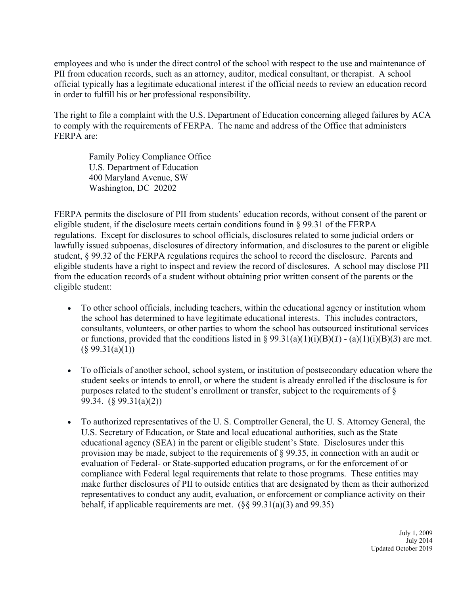employees and who is under the direct control of the school with respect to the use and maintenance of PII from education records, such as an attorney, auditor, medical consultant, or therapist. A school official typically has a legitimate educational interest if the official needs to review an education record in order to fulfill his or her professional responsibility.

The right to file a complaint with the U.S. Department of Education concerning alleged failures by ACA to comply with the requirements of FERPA. The name and address of the Office that administers FERPA are:

Family Policy Compliance Office U.S. Department of Education 400 Maryland Avenue, SW Washington, DC 20202

FERPA permits the disclosure of PII from students' education records, without consent of the parent or eligible student, if the disclosure meets certain conditions found in  $\S$  99.31 of the FERPA regulations. Except for disclosures to school officials, disclosures related to some judicial orders or lawfully issued subpoenas, disclosures of directory information, and disclosures to the parent or eligible student, § 99.32 of the FERPA regulations requires the school to record the disclosure. Parents and eligible students have a right to inspect and review the record of disclosures. A school may disclose PII from the education records of a student without obtaining prior written consent of the parents or the eligible student:

- To other school officials, including teachers, within the educational agency or institution whom the school has determined to have legitimate educational interests. This includes contractors, consultants, volunteers, or other parties to whom the school has outsourced institutional services or functions, provided that the conditions listed in  $\S 99.31(a)(1)(i)(B)(*I*) - (a)(1)(i)(B)(3)$  are met.  $(\S 99.31(a)(1))$
- To officials of another school, school system, or institution of postsecondary education where the student seeks or intends to enroll, or where the student is already enrolled if the disclosure is for purposes related to the student's enrollment or transfer, subject to the requirements of § 99.34. (§ 99.31(a)(2))
- To authorized representatives of the U. S. Comptroller General, the U. S. Attorney General, the U.S. Secretary of Education, or State and local educational authorities, such as the State educational agency (SEA) in the parent or eligible student's State. Disclosures under this provision may be made, subject to the requirements of § 99.35, in connection with an audit or evaluation of Federal- or State-supported education programs, or for the enforcement of or compliance with Federal legal requirements that relate to those programs. These entities may make further disclosures of PII to outside entities that are designated by them as their authorized representatives to conduct any audit, evaluation, or enforcement or compliance activity on their behalf, if applicable requirements are met.  $(\S$ § 99.31(a)(3) and 99.35)